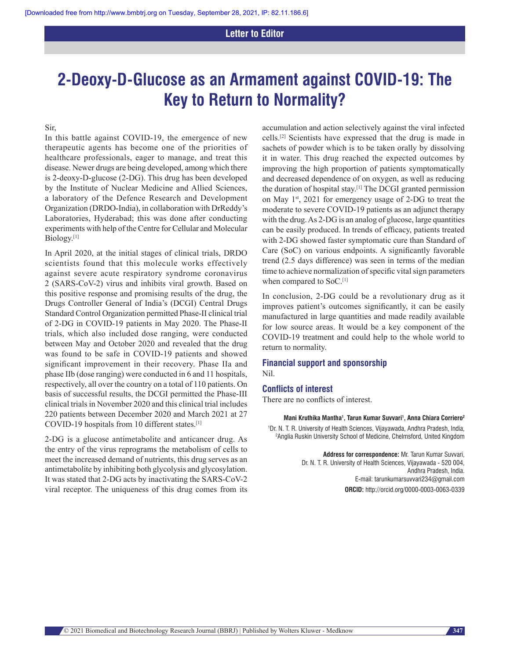## **2‑Deoxy‑D‑Glucose as an Armament against COVID‑19: The Key to Return to Normality?**

Sir,

In this battle against COVID-19, the emergence of new therapeutic agents has become one of the priorities of healthcare professionals, eager to manage, and treat this disease. Newer drugs are being developed, among which there is 2-deoxy-D-glucose (2-DG). This drug has been developed by the Institute of Nuclear Medicine and Allied Sciences, a laboratory of the Defence Research and Development Organization (DRDO-India), in collaboration with DrReddy's Laboratories, Hyderabad; this was done after conducting experiments with help of the Centre for Cellular and Molecular Biology.[1]

In April 2020, at the initial stages of clinical trials, DRDO scientists found that this molecule works effectively against severe acute respiratory syndrome coronavirus 2 (SARS-CoV-2) virus and inhibits viral growth. Based on this positive response and promising results of the drug, the Drugs Controller General of India's (DCGI) Central Drugs Standard Control Organization permitted Phase-II clinical trial of 2-DG in COVID-19 patients in May 2020. The Phase-II trials, which also included dose ranging, were conducted between May and October 2020 and revealed that the drug was found to be safe in COVID-19 patients and showed significant improvement in their recovery. Phase IIa and phase IIb (dose ranging) were conducted in 6 and 11 hospitals, respectively, all over the country on a total of 110 patients. On basis of successful results, the DCGI permitted the Phase-III clinical trials in November 2020 and this clinical trial includes 220 patients between December 2020 and March 2021 at 27 COVID-19 hospitals from 10 different states.[1]

2-DG is a glucose antimetabolite and anticancer drug. As the entry of the virus reprograms the metabolism of cells to meet the increased demand of nutrients, this drug serves as an antimetabolite by inhibiting both glycolysis and glycosylation. It was stated that 2-DG acts by inactivating the SARS-CoV-2 viral receptor. The uniqueness of this drug comes from its accumulation and action selectively against the viral infected cells.[2] Scientists have expressed that the drug is made in sachets of powder which is to be taken orally by dissolving it in water. This drug reached the expected outcomes by improving the high proportion of patients symptomatically and decreased dependence of on oxygen, as well as reducing the duration of hospital stay.[1] The DCGI granted permission on May 1<sup>st</sup>, 2021 for emergency usage of 2-DG to treat the moderate to severe COVID-19 patients as an adjunct therapy with the drug. As 2-DG is an analog of glucose, large quantities can be easily produced. In trends of efficacy, patients treated with 2-DG showed faster symptomatic cure than Standard of Care (SoC) on various endpoints. A significantly favorable trend (2.5 days difference) was seen in terms of the median time to achieve normalization of specific vital sign parameters when compared to SoC.<sup>[1]</sup>

In conclusion, 2-DG could be a revolutionary drug as it improves patient's outcomes significantly, it can be easily manufactured in large quantities and made readily available for low source areas. It would be a key component of the COVID-19 treatment and could help to the whole world to return to normality.

## **Financial support and sponsorship** Nil.

## **Conflicts of interest**

There are no conflicts of interest.

**Mani Kruthika Mantha1 , Tarun Kumar Suvvari1 , Anna Chiara Corriero2**

<sup>1</sup>Dr. N. T. R. University of Health Sciences, Vijayawada, Andhra Pradesh, India,<br><sup>2</sup>Anglia Buskin University School of Medicine, Chelmsford, United Kingdom <sup>2</sup> Anglia Ruskin University School of Medicine, Chelmsford, United Kingdom

> **Address for correspondence:** Mr. Tarun Kumar Suvvari, Dr. N. T. R. University of Health Sciences, Vijayawada - 520 004, Andhra Pradesh, India. E‑mail: tarunkumarsuvvari234@gmail.com **ORCID:** http://orcid.org/0000‑0003‑0063‑0339